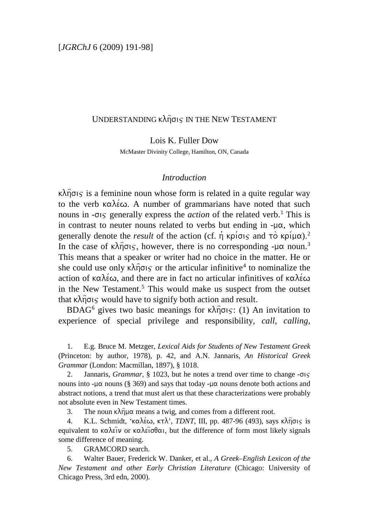# UNDERSTANDING  $\kappa\lambda\hat{\eta}\sigma$ is IN THE NEW TESTAMENT

Lois K. Fuller Dow

McMaster Divinity College, Hamilton, ON, Canada

#### *Introduction*

 $\kappa\lambda\hat{\eta}\sigma\varsigma$  is a feminine noun whose form is related in a quite regular way to the verb  $\kappa \alpha \lambda \epsilon \omega$ . A number of grammarians have noted that such nouns in  $-\sigma$ <sub>is</sub> generally express the *action* of the related verb.<sup>[1](#page-0-0)</sup> This is in contrast to neuter nouns related to verbs but ending in  $-\mu\alpha$ , which generally denote the *result* of the action (cf.  $\eta$  kpi $\sigma$ ) and  $\tau$ <sup>o</sup> kpi $\mu\alpha$ ).<sup>[2](#page-0-1)</sup> In the case of  $\kappa\lambda\hat{\eta}\sigma\varsigma$ , however, there is no corresponding - $\mu\alpha$  noun.<sup>[3](#page-0-2)</sup> This means that a speaker or writer had no choice in the matter. He or she could use only  $\kappa \lambda \hat{\eta} \sigma \varsigma$  or the articular infinitive<sup>[4](#page-0-3)</sup> to nominalize the action of  $\kappa \alpha \lambda \acute{\epsilon} \omega$ , and there are in fact no articular infinitives of  $\kappa \alpha \lambda \acute{\epsilon} \omega$ in the New Testament.<sup>[5](#page-0-4)</sup> This would make us suspect from the outset that  $\kappa \lambda \hat{\eta} \sigma \varsigma$  would have to signify both action and result.

BDAG<sup>[6](#page-0-5)</sup> gives two basic meanings for  $\kappa \lambda \hat{\eta} \sigma$ <sub>15</sub>: (1) An invitation to experience of special privilege and responsibility, *call, calling,* 

<span id="page-0-0"></span>1. E.g. Bruce M. Metzger, *Lexical Aids for Students of New Testament Greek* (Princeton: by author, 1978), p. 42, and A.N. Jannaris, *An Historical Greek Grammar* (London: Macmillan, 1897), § 1018.

<span id="page-0-1"></span>2. Jannaris, *Grammar*,  $\S$  1023, but he notes a trend over time to change  $-\sigma\varsigma$ nouns into - $\mu\alpha$  nouns (§ 369) and says that today - $\mu\alpha$  nouns denote both actions and abstract notions, a trend that must alert us that these characterizations were probably not absolute even in New Testament times.

3. The noun  $\kappa \lambda \hat{\eta} \mu \alpha$  means a twig, and comes from a different root.

<span id="page-0-3"></span><span id="page-0-2"></span>4. K.L. Schmidt, 'καλέω, κτλ', *TDNT*, III, pp. 487-96 (493), says κλήσις is equivalent to  $\kappa\alpha\lambda\epsilon\hat{i}\nu$  or  $\kappa\alpha\lambda\epsilon\hat{i}\sigma\theta\alpha$ , but the difference of form most likely signals some difference of meaning.

5. GRAMCORD search.

<span id="page-0-5"></span><span id="page-0-4"></span>6. Walter Bauer, Frederick W. Danker, et al., *A Greek–English Lexicon of the New Testament and other Early Christian Literature* (Chicago: University of Chicago Press, 3rd edn, 2000).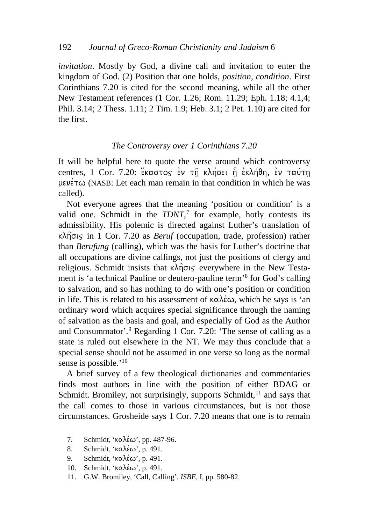*invitation*. Mostly by God, a divine call and invitation to enter the kingdom of God. (2) Position that one holds, *position, condition*. First Corinthians 7.20 is cited for the second meaning, while all the other New Testament references (1 Cor. 1.26; Rom. 11.29; Eph. 1.18; 4.1,4; Phil. 3.14; 2 Thess. 1.11; 2 Tim. 1.9; Heb. 3.1; 2 Pet. 1.10) are cited for the first.

#### *The Controversy over 1 Corinthians 7.20*

It will be helpful here to quote the verse around which controversy centres, 1 Cor. 7.20:  $\frac{c}{k}$ καστος εν τη κλήσει η εκλήθη, εν ταύτη  $\mu \in V$ έτω (NASB: Let each man remain in that condition in which he was called).

Not everyone agrees that the meaning 'position or condition' is a valid one. Schmidt in the *TDNT*, [7](#page-1-0) for example, hotly contests its admissibility. His polemic is directed against Luther's translation of  $\kappa \lambda \hat{\eta}$ σις in 1 Cor. 7.20 as *Beruf* (occupation, trade, profession) rather than *Berufung* (calling), which was the basis for Luther's doctrine that all occupations are divine callings, not just the positions of clergy and religious. Schmidt insists that  $\kappa\lambda\hat{\eta}\sigma\varsigma$  everywhere in the New Testament is 'a technical Pauline or deutero-pauline term' [8](#page-1-1) for God's calling to salvation, and so has nothing to do with one's position or condition in life. This is related to his assessment of  $\kappa \alpha \lambda \epsilon \omega$ , which he says is 'an ordinary word which acquires special significance through the naming of salvation as the basis and goal, and especially of God as the Author and Consummator'.[9](#page-1-2) Regarding 1 Cor. 7.20: 'The sense of calling as a state is ruled out elsewhere in the NT. We may thus conclude that a special sense should not be assumed in one verse so long as the normal sense is possible.'<sup>[10](#page-1-3)</sup>

A brief survey of a few theological dictionaries and commentaries finds most authors in line with the position of either BDAG or Schmidt. Bromiley, not surprisingly, supports Schmidt,<sup>[11](#page-1-4)</sup> and says that the call comes to those in various circumstances, but is not those circumstances. Grosheide says 1 Cor. 7.20 means that one is to remain

- <span id="page-1-0"></span>7. Schmidt, ' $\kappa \alpha \lambda \epsilon \omega$ ', pp. 487-96.
- <span id="page-1-1"></span>8. Schmidt, ' $\kappa \alpha \lambda \acute{\epsilon} \omega$ ', p. 491.
- <span id="page-1-2"></span>9. Schmidt, ' $\kappa \alpha \lambda \acute{\epsilon} \omega$ ', p. 491.
- <span id="page-1-3"></span>10. Schmidt, ' $\kappa \alpha \lambda \acute{\epsilon} \omega$ ', p. 491.
- <span id="page-1-4"></span>11. G.W. Bromiley, 'Call, Calling', *ISBE*, I, pp. 580-82.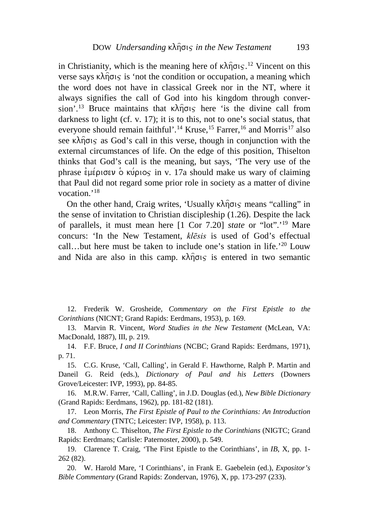in Christianity, which is the meaning here of  $\kappa \lambda \hat{\eta} \sigma$ <sub>15</sub>.<sup>[12](#page-2-0)</sup> Vincent on this verse says  $\kappa \lambda \hat{\eta} \sigma \in \mathcal{S}$  is 'not the condition or occupation, a meaning which the word does not have in classical Greek nor in the NT, where it always signifies the call of God into his kingdom through conver-sion'.<sup>[13](#page-2-1)</sup> Bruce maintains that  $\kappa \lambda \hat{n}$  $\sigma \kappa$  here 'is the divine call from darkness to light (cf. v. 17); it is to this, not to one's social status, that everyone should remain faithful'.<sup>[14](#page-2-2)</sup> Kruse,<sup>[15](#page-2-3)</sup> Farrer,<sup>[16](#page-2-4)</sup> and Morris<sup>[17](#page-2-5)</sup> also see  $\kappa \lambda \hat{\eta}$  $\sigma$  $\varsigma$  as God's call in this verse, though in conjunction with the external circumstances of life. On the edge of this position, Thiselton thinks that God's call is the meaning, but says, 'The very use of the phrase  $\epsilon \mu \epsilon \rho$  of  $\epsilon \nu \rho \nu \sigma \epsilon$  in v. 17a should make us wary of claiming that Paul did not regard some prior role in society as a matter of divine vocation.'<sup>[18](#page-2-6)</sup>

On the other hand, Craig writes, 'Usually  $\kappa \lambda \hat{\eta} \sigma \varsigma$  means "calling" in the sense of invitation to Christian discipleship (1.26). Despite the lack of parallels, it must mean here [1 Cor 7.20] *state* or "lot".'[19](#page-2-7) Mare concurs: 'In the New Testament, *klēsis* is used of God's effectual call...but here must be taken to include one's station in life.<sup>'[20](#page-2-8)</sup> Louw and Nida are also in this camp.  $\kappa \lambda \hat{\eta} \sigma_{\text{S}}$  is entered in two semantic

<span id="page-2-0"></span>12. Frederik W. Grosheide, *Commentary on the First Epistle to the Corinthians* (NICNT; Grand Rapids: Eerdmans, 1953), p. 169.

<span id="page-2-1"></span>13. Marvin R. Vincent, *Word Studies in the New Testament* (McLean, VA: MacDonald, 1887), III, p. 219.

<span id="page-2-2"></span>14. F.F. Bruce, *I and II Corinthians* (NCBC; Grand Rapids: Eerdmans, 1971), p. 71.

<span id="page-2-3"></span>15. C.G. Kruse, 'Call, Calling', in Gerald F. Hawthorne, Ralph P. Martin and Daneil G. Reid (eds.), *Dictionary of Paul and his Letters* (Downers Grove/Leicester: IVP, 1993), pp. 84-85.

<span id="page-2-4"></span>16. M.R.W. Farrer, 'Call, Calling', in J.D. Douglas (ed.), *New Bible Dictionary* (Grand Rapids: Eerdmans, 1962), pp. 181-82 (181).

<span id="page-2-5"></span>17. Leon Morris, *The First Epistle of Paul to the Corinthians: An Introduction and Commentary* (TNTC; Leicester: IVP, 1958), p. 113.

<span id="page-2-6"></span>18. Anthony C. Thiselton, *The First Epistle to the Corinthians* (NIGTC; Grand Rapids: Eerdmans; Carlisle: Paternoster, 2000), p. 549.

<span id="page-2-7"></span>19. Clarence T. Craig, 'The First Epistle to the Corinthians', in *IB*, X, pp. 1- 262 (82).

<span id="page-2-8"></span>20. W. Harold Mare, 'I Corinthians', in Frank E. Gaebelein (ed.), *Expositor's Bible Commentary* (Grand Rapids: Zondervan, 1976), X, pp. 173-297 (233).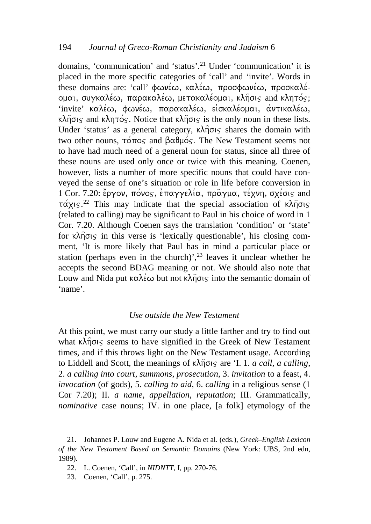domains, 'communication' and 'status'.[21](#page-3-0) Under 'communication' it is placed in the more specific categories of 'call' and 'invite'. Words in these domains are: 'call' φωνέω, καλέω, προσφωνέω, προσκαλέ- $\alpha$ μαι, συγκαλέω, παρακαλέω, μετακαλέομαι, κλήσις and κλητός; 'invite' καλέω, φωνέω, παρακαλέω, εισκαλέομαι, αντικαλέω,  $\kappa\lambda\hat{\eta}\sigma$ is and  $\kappa\lambda\eta\tau\sigma\zeta$ . Notice that  $\kappa\lambda\hat{\eta}\sigma$ is is the only noun in these lists. Under 'status' as a general category,  $\kappa \lambda \hat{\eta}$ σις shares the domain with two other nouns,  $\tau$  of  $\tau$  and  $\beta \alpha \theta \mu$  os. The New Testament seems not to have had much need of a general noun for status, since all three of these nouns are used only once or twice with this meaning. Coenen, however, lists a number of more specific nouns that could have conveyed the sense of one's situation or role in life before conversion in 1 Cor. 7.20: έργον, πόνος, επαγγελία, πραγμα, τέχνη, σχέσις and  $\tau \alpha \chi$ <sub>15</sub>.<sup>[22](#page-3-1)</sup> This may indicate that the special association of  $\kappa \lambda \hat{\eta} \sigma$ <sub>15</sub> (related to calling) may be significant to Paul in his choice of word in 1 Cor. 7.20. Although Coenen says the translation 'condition' or 'state' for  $\kappa\lambda\hat{\eta}\sigma\varsigma$  in this verse is 'lexically questionable', his closing comment, 'It is more likely that Paul has in mind a particular place or station (perhaps even in the church)',  $23$  leaves it unclear whether he accepts the second BDAG meaning or not. We should also note that Louw and Nida put  $\kappa \alpha \lambda \in \omega$  but not  $\kappa \lambda \widehat{n}$  or sinto the semantic domain of 'name'.

## *Use outside the New Testament*

At this point, we must carry our study a little farther and try to find out what  $\kappa \lambda \hat{\eta} \sigma$  seems to have signified in the Greek of New Testament times, and if this throws light on the New Testament usage. According to Liddell and Scott, the meanings of  $\kappa \hat{\lambda} \hat{\eta} \sigma \varsigma$  are 'I. 1. *a call, a calling*, 2. *a calling into court, summons, prosecution*, 3. *invitation* to a feast, 4. *invocation* (of gods), 5. *calling to aid*, 6. *calling* in a religious sense (1 Cor 7.20); II. *a name, appellation, reputation*; III. Grammatically, *nominative* case nouns; IV. in one place, [a folk] etymology of the

- 22. L. Coenen, 'Call', in *NIDNTT*, I, pp. 270-76.
- <span id="page-3-2"></span>23. Coenen, 'Call', p. 275.

<span id="page-3-1"></span><span id="page-3-0"></span><sup>21.</sup> Johannes P. Louw and Eugene A. Nida et al. (eds.), *Greek–English Lexicon of the New Testament Based on Semantic Domains* (New York: UBS, 2nd edn, 1989).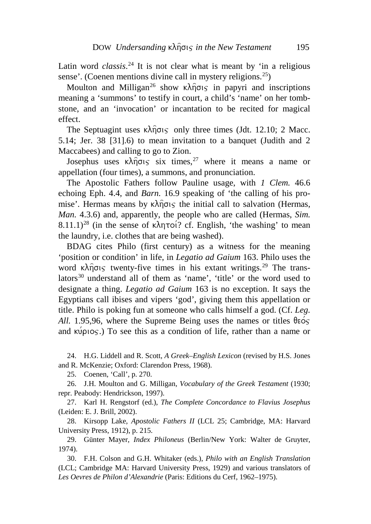Latin word *classis*. [24](#page-4-0) It is not clear what is meant by 'in a religious sense'. (Coenen mentions divine call in mystery religions.<sup>[25](#page-4-1)</sup>)

Moulton and Milligan<sup>[26](#page-4-2)</sup> show  $\kappa \lambda \hat{\eta}$  $\sigma \in \mathcal{S}$  in papyri and inscriptions meaning a 'summons' to testify in court, a child's 'name' on her tombstone, and an 'invocation' or incantation to be recited for magical effect.

The Septuagint uses  $\kappa \lambda \hat{\eta} \sigma \varsigma$  only three times (Jdt. 12.10; 2 Macc. 5.14; Jer. 38 [31].6) to mean invitation to a banquet (Judith and 2 Maccabees) and calling to go to Zion.

Josephus uses  $\kappa \lambda \hat{\eta} \sigma \varsigma$  six times,<sup>[27](#page-4-3)</sup> where it means a name or appellation (four times), a summons, and pronunciation.

The Apostolic Fathers follow Pauline usage, with *1 Clem.* 46.6 echoing Eph. 4.4, and *Barn.* 16.9 speaking of 'the calling of his promise'. Hermas means by  $\kappa \lambda \hat{\eta}$  or the initial call to salvation (Hermas, *Man.* 4.3.6) and, apparently, the people who are called (Hermas, *Sim.* 8.11.1)<sup>[28](#page-4-4)</sup> (in the sense of  $\kappa\lambda \eta \tau o'$ ? cf. English, 'the washing' to mean the laundry, i.e. clothes that are being washed).

BDAG cites Philo (first century) as a witness for the meaning 'position or condition' in life, in *Legatio ad Gaium* 163. Philo uses the word  $\kappa \lambda \hat{\eta}$ σις twenty-five times in his extant writings.<sup>[29](#page-4-5)</sup> The trans-lators<sup>[30](#page-4-6)</sup> understand all of them as 'name', 'title' or the word used to designate a thing. *Legatio ad Gaium* 163 is no exception. It says the Egyptians call ibises and vipers 'god', giving them this appellation or title. Philo is poking fun at someone who calls himself a god. (Cf. *Leg. All.* 1.95,96, where the Supreme Being uses the names or titles  $\theta \in \sigma$ and  $\kappa \nu \rho \nu \sigma$ .) To see this as a condition of life, rather than a name or

<span id="page-4-0"></span>24. H.G. Liddell and R. Scott, *A Greek–English Lexicon* (revised by H.S. Jones and R. McKenzie; Oxford: Clarendon Press, 1968).

25. Coenen, 'Call', p. 270.

<span id="page-4-2"></span><span id="page-4-1"></span>26. J.H. Moulton and G. Milligan, *Vocabulary of the Greek Testament* (1930; repr. Peabody: Hendrickson, 1997).

<span id="page-4-3"></span>27. Karl H. Rengstorf (ed.), *The Complete Concordance to Flavius Josephus* (Leiden: E. J. Brill, 2002).

<span id="page-4-4"></span>28. Kirsopp Lake, *Apostolic Fathers II* (LCL 25; Cambridge, MA: Harvard University Press, 1912), p. 215.

<span id="page-4-5"></span>29. Günter Mayer, *Index Philoneus* (Berlin/New York: Walter de Gruyter, 1974).

<span id="page-4-6"></span>30. F.H. Colson and G.H. Whitaker (eds.), *Philo with an English Translation* (LCL; Cambridge MA: Harvard University Press, 1929) and various translators of *Les Oevres de Philon d'Alexandrie* (Paris: Editions du Cerf, 1962–1975).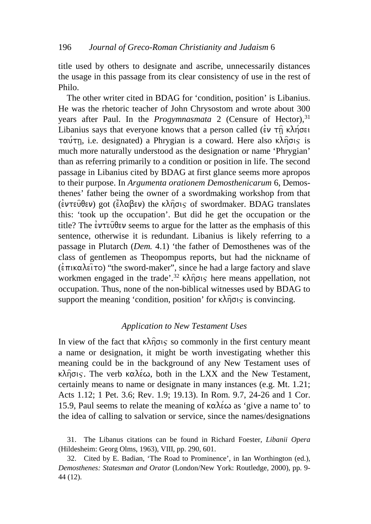title used by others to designate and ascribe, unnecessarily distances the usage in this passage from its clear consistency of use in the rest of Philo.

The other writer cited in BDAG for 'condition, position' is Libanius. He was the rhetoric teacher of John Chrysostom and wrote about 300 years after Paul. In the *Progymnasmata* 2 (Censure of Hector),<sup>[31](#page-5-0)</sup> Libanius says that everyone knows that a person called ( $\epsilon v \tau \hat{n} \kappa \lambda n \sigma \epsilon$ )  $\tau\alpha\acute{\nu}\tau\eta$ , i.e. designated) a Phrygian is a coward. Here also k $\lambda\hat{\eta}\sigma\zeta$  is much more naturally understood as the designation or name 'Phrygian' than as referring primarily to a condition or position in life. The second passage in Libanius cited by BDAG at first glance seems more apropos to their purpose. In *Argumenta orationem Demosthenicarum* 6, Demosthenes' father being the owner of a swordmaking workshop from that ( $\epsilon$ ντεύθεν) got ( $\epsilon'$ λαβεν) the κλήσις of swordmaker. BDAG translates this: 'took up the occupation'. But did he get the occupation or the title? The  $\dot{\epsilon}$ ντεύθεν seems to argue for the latter as the emphasis of this sentence, otherwise it is redundant. Libanius is likely referring to a passage in Plutarch (*Dem.* 4.1) 'the father of Demosthenes was of the class of gentlemen as Theopompus reports, but had the nickname of  $(\epsilon \pi \kappa \Delta \epsilon)$  "the sword-maker", since he had a large factory and slave workmen engaged in the trade'.<sup>[32](#page-5-1)</sup>  $\kappa \lambda \hat{\eta}$ ots here means appellation, not occupation. Thus, none of the non-biblical witnesses used by BDAG to support the meaning 'condition, position' for  $\kappa \lambda \hat{\eta} \sigma \varsigma$  is convincing.

## *Application to New Testament Uses*

In view of the fact that  $\kappa\lambda\hat{\eta}\sigma\varsigma$  so commonly in the first century meant a name or designation, it might be worth investigating whether this meaning could be in the background of any New Testament uses of  $\kappa\lambda\hat{\eta}\sigma$ <sub>IS</sub>. The verb  $\kappa\alpha\lambda\acute{\epsilon}\omega$ , both in the LXX and the New Testament, certainly means to name or designate in many instances (e.g. Mt. 1.21; Acts 1.12; 1 Pet. 3.6; Rev. 1.9; 19.13). In Rom. 9.7, 24-26 and 1 Cor. 15.9, Paul seems to relate the meaning of  $\kappa \alpha \lambda \acute{\epsilon} \omega$  as 'give a name to' to the idea of calling to salvation or service, since the names/designations

<span id="page-5-0"></span><sup>31.</sup> The Libanus citations can be found in Richard Foester, *Libanii Opera* (Hildesheim: Georg Olms, 1963), VIII, pp. 290, 601.

<span id="page-5-1"></span><sup>32.</sup> Cited by E. Badian, 'The Road to Prominence', in Ian Worthington (ed.), *Demosthenes: Statesman and Orator* (London/New York: Routledge, 2000), pp. 9- 44 (12).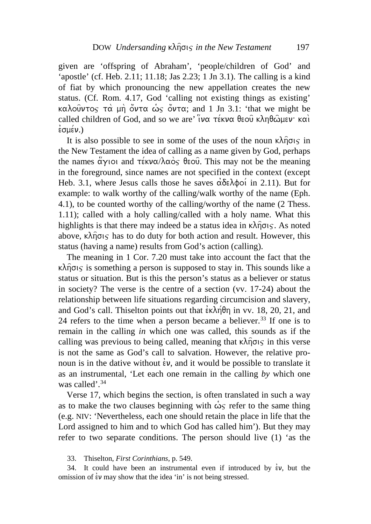given are 'offspring of Abraham', 'people/children of God' and 'apostle' (cf. Heb. 2.11; 11.18; Jas 2.23; 1 Jn 3.1). The calling is a kind of fiat by which pronouncing the new appellation creates the new status. (Cf. Rom. 4.17, God 'calling not existing things as existing' καλούντος τα μη όντα ως όντα; and 1 Jn 3.1: 'that we might be called children of God, and so we are'  $\partial x \propto \pi \epsilon \times \partial \alpha$   $\partial x \wedge \theta$  $\frac{1}{2}$  $\sigma$  $\mu$  $\epsilon$  $\nu$ .)

It is also possible to see in some of the uses of the noun  $\kappa \lambda \hat{\eta} \sigma \iota_S$  in the New Testament the idea of calling as a name given by God, perhaps the names  $\alpha y$ ioi and  $\tau \in Kv\alpha/\lambda \alpha \infty$  beou. This may not be the meaning in the foreground, since names are not specified in the context (except Heb. 3.1, where Jesus calls those he saves  $\alpha\delta\epsilon\lambda\phi$ oi in 2.11). But for example: to walk worthy of the calling/walk worthy of the name (Eph. 4.1), to be counted worthy of the calling/worthy of the name (2 Thess. 1.11); called with a holy calling/called with a holy name. What this highlights is that there may indeed be a status idea in  $\kappa\lambda\hat{\eta}\sigma\zeta$ . As noted above,  $\kappa \lambda \hat{n} \sigma \varsigma$  has to do duty for both action and result. However, this status (having a name) results from God's action (calling).

The meaning in 1 Cor. 7.20 must take into account the fact that the  $\kappa\lambda\hat{\eta}\sigma\varsigma$  is something a person is supposed to stay in. This sounds like a status or situation. But is this the person's status as a believer or status in society? The verse is the centre of a section (vv. 17-24) about the relationship between life situations regarding circumcision and slavery, and God's call. Thiselton points out that  $\epsilon \kappa \lambda \eta \theta \eta$  in vv. 18, 20, 21, and 24 refers to the time when a person became a believer.<sup>[33](#page-6-0)</sup> If one is to remain in the calling *in* which one was called, this sounds as if the calling was previous to being called, meaning that  $\kappa \lambda \hat{\eta} \sigma \varsigma$  in this verse is not the same as God's call to salvation. However, the relative pronoun is in the dative without  $\dot{\epsilon}v$ , and it would be possible to translate it as an instrumental, 'Let each one remain in the calling *by* which one was called'.<sup>[34](#page-6-1)</sup>

Verse 17, which begins the section, is often translated in such a way as to make the two clauses beginning with  $\dot{\omega}_S$  refer to the same thing (e.g. NIV: 'Nevertheless, each one should retain the place in life that the Lord assigned to him and to which God has called him'). But they may refer to two separate conditions. The person should live (1) 'as the

33. Thiselton, *First Corinthians*, p. 549.

<span id="page-6-1"></span><span id="page-6-0"></span>34. It could have been an instrumental even if introduced by  $\dot{\epsilon}v$ , but the omission of  $\dot{\epsilon}v$  may show that the idea 'in' is not being stressed.